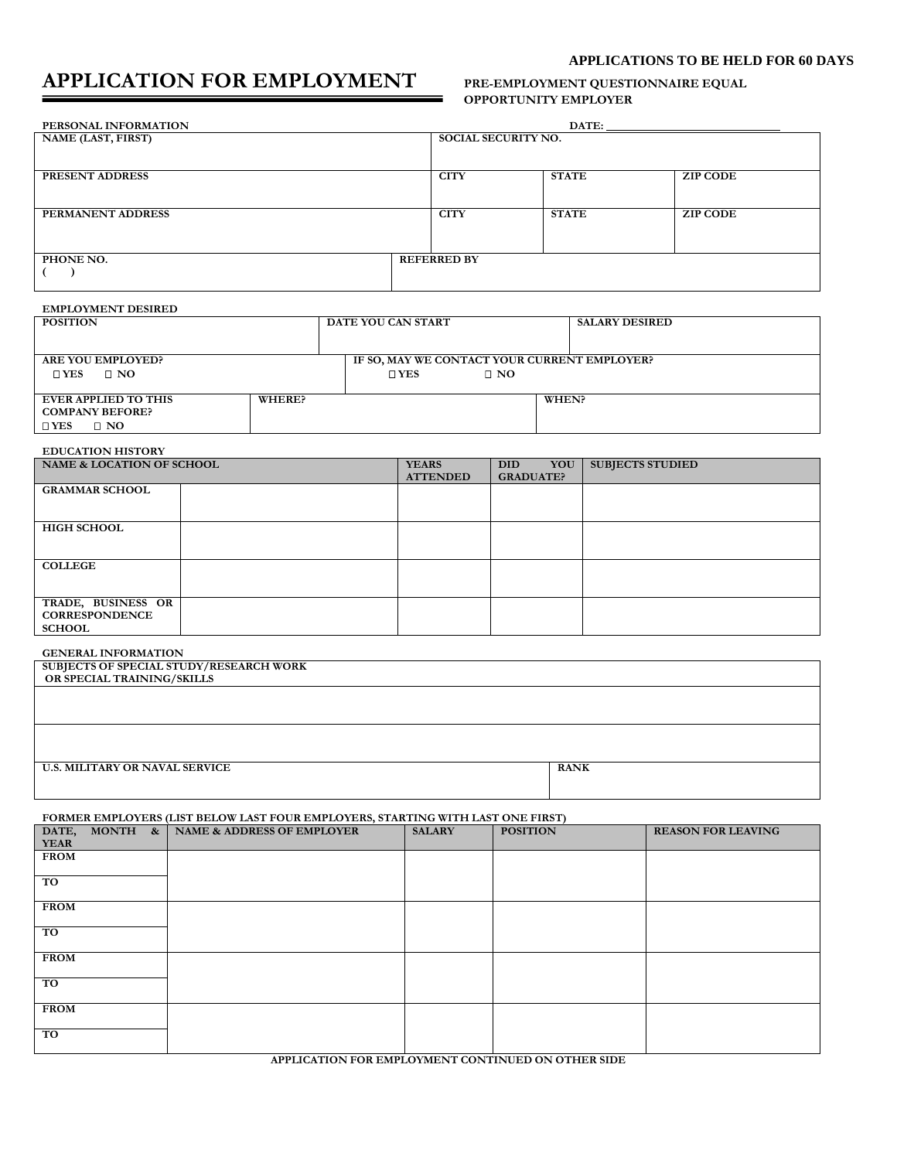# **APPLICATION FOR EMPLOYMENT PRE-EMPLOYMENT QUESTIONNAIRE EQUAL**

# **APPLICATIONS TO BE HELD FOR 60 DAYS**

# **OPPORTUNITY EMPLOYER**

| PERSONAL INFORMATION |                            | DATE:        |                 |
|----------------------|----------------------------|--------------|-----------------|
| NAME (LAST, FIRST)   | <b>SOCIAL SECURITY NO.</b> |              |                 |
|                      |                            |              |                 |
| PRESENT ADDRESS      | <b>CITY</b>                | <b>STATE</b> | <b>ZIP CODE</b> |
|                      |                            |              |                 |
| PERMANENT ADDRESS    | <b>CITY</b>                | <b>STATE</b> | <b>ZIP CODE</b> |
|                      |                            |              |                 |
|                      |                            |              |                 |
| PHONE NO.            | <b>REFERRED BY</b>         |              |                 |
|                      |                            |              |                 |
|                      |                            |              |                 |

#### **EMPLOYMENT DESIRED**

| <b>POSITION</b>            |        | DATE YOU CAN START                           |           | <b>SALARY DESIRED</b> |
|----------------------------|--------|----------------------------------------------|-----------|-----------------------|
|                            |        |                                              |           |                       |
|                            |        |                                              |           |                       |
| <b>ARE YOU EMPLOYED?</b>   |        | IF SO, MAY WE CONTACT YOUR CURRENT EMPLOYER? |           |                       |
| $\square$ YES<br>$\Box$ NO |        | $\square$ YES                                | $\Box$ NO |                       |
|                            |        |                                              |           |                       |
| EVER APPLIED TO THIS       | WHERE? |                                              |           | WHEN?                 |
| <b>COMPANY BEFORE?</b>     |        |                                              |           |                       |
| $\Box$ NO<br>$\square$ YES |        |                                              |           |                       |

## **EDUCATION HISTORY**

| NAME & LOCATION OF SCHOOL                                    | <b>YEARS</b><br><b>ATTENDED</b> | YOU<br>DID.<br><b>GRADUATE?</b> | <b>SUBJECTS STUDIED</b> |
|--------------------------------------------------------------|---------------------------------|---------------------------------|-------------------------|
| <b>GRAMMAR SCHOOL</b>                                        |                                 |                                 |                         |
| <b>HIGH SCHOOL</b>                                           |                                 |                                 |                         |
| <b>COLLEGE</b>                                               |                                 |                                 |                         |
| TRADE, BUSINESS OR<br><b>CORRESPONDENCE</b><br><b>SCHOOL</b> |                                 |                                 |                         |

#### **GENERAL INFORMATION**

| SUBJECTS OF SPECIAL STUDY/RESEARCH WORK |             |
|-----------------------------------------|-------------|
| OR SPECIAL TRAINING/SKILLS              |             |
|                                         |             |
|                                         |             |
|                                         |             |
|                                         |             |
|                                         |             |
| <b>U.S. MILITARY OR NAVAL SERVICE</b>   | <b>RANK</b> |
|                                         |             |
|                                         |             |
|                                         |             |

**FORMER EMPLOYERS (LIST BELOW LAST FOUR EMPLOYERS, STARTING WITH LAST ONE FIRST)**

| <b>YEAR</b>     | DATE, MONTH & | NAME & ADDRESS OF EMPLOYER | <b>SALARY</b> | <b>POSITION</b> | <b>REASON FOR LEAVING</b> |
|-----------------|---------------|----------------------------|---------------|-----------------|---------------------------|
| <b>FROM</b>     |               |                            |               |                 |                           |
| TO <sup>1</sup> |               |                            |               |                 |                           |
| <b>FROM</b>     |               |                            |               |                 |                           |
| TO              |               |                            |               |                 |                           |
| <b>FROM</b>     |               |                            |               |                 |                           |
| TO <sup>1</sup> |               |                            |               |                 |                           |
| <b>FROM</b>     |               |                            |               |                 |                           |
| TO              |               |                            |               |                 |                           |

**APPLICATION FOR EMPLOYMENT CONTINUED ON OTHER SIDE**